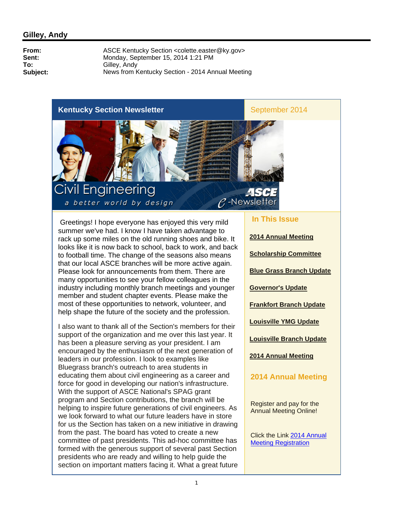#### **Kentucky Section Newsletter** September 2014

#### **Civil Engineering** a better world by design

Greetings! I hope everyone has enjoyed this very mild summer we've had. I know I have taken advantage to rack up some miles on the old running shoes and bike. It looks like it is now back to school, back to work, and back to football time. The change of the seasons also means that our local ASCE branches will be more active again. Please look for announcements from them. There are many opportunities to see your fellow colleagues in the industry including monthly branch meetings and younger member and student chapter events. Please make the most of these opportunities to network, volunteer, and help shape the future of the society and the profession.

I also want to thank all of the Section's members for their support of the organization and me over this last year. It has been a pleasure serving as your president. I am encouraged by the enthusiasm of the next generation of leaders in our profession. I look to examples like Bluegrass branch's outreach to area students in educating them about civil engineering as a career and force for good in developing our nation's infrastructure. With the support of ASCE National's SPAG grant program and Section contributions, the branch will be helping to inspire future generations of civil engineers. As we look forward to what our future leaders have in store for us the Section has taken on a new initiative in drawing from the past. The board has voted to create a new committee of past presidents. This ad-hoc committee has formed with the generous support of several past Section presidents who are ready and willing to help guide the section on important matters facing it. What a great future

#### **In This Issue**

 $P$ -Newsletter

 $\overline{\phantom{a}}$ 

**2014 Annual Meeting Scholarship Committee Blue Grass Branch Update Governor's Update Frankfort Branch Update Louisville YMG Update Louisville Branch Update 2014 Annual Meeting 2014 Annual Meeting**

Register and pay for the Annual Meeting Online!

Click the Link 2014 Annual Meeting Registration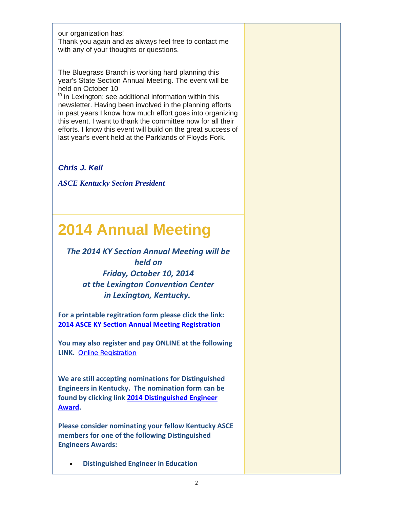our organization has!

Thank you again and as always feel free to contact me with any of your thoughts or questions.

The Bluegrass Branch is working hard planning this year's State Section Annual Meeting. The event will be held on October 10

th in Lexington; see additional information within this newsletter. Having been involved in the planning efforts in past years I know how much effort goes into organizing this event. I want to thank the committee now for all their efforts. I know this event will build on the great success of last year's event held at the Parklands of Floyds Fork.

*Chris J. Keil*

*ASCE Kentucky Secion President*

# **2014 Annual Meeting**

*The 2014 KY Section Annual Meeting will be held on Friday, October 10, 2014 at the Lexington Convention Center in Lexington, Kentucky.* 

**For a printable regitration form please click the link: 2014 ASCE KY Section Annual Meeting Registration**

**You may also register and pay ONLINE at the following LINK.** Online Registration

**We are still accepting nominations for Distinguished Engineers in Kentucky. The nomination form can be found by clicking link 2014 Distinguished Engineer Award.**

**Please consider nominating your fellow Kentucky ASCE members for one of the following Distinguished Engineers Awards:** 

**Distinguished Engineer in Education**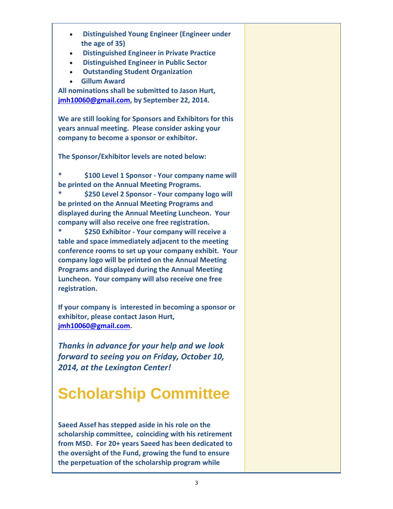- **Distinguished Young Engineer (Engineer under the age of 35)**
- **Distinguished Engineer in Private Practice**
- **Distinguished Engineer in Public Sector**
- **Outstanding Student Organization**
- **Gillum Award**

**All nominations shall be submitted to Jason Hurt, jmh10060@gmail.com, by September 22, 2014.**

**We are still looking for Sponsors and Exhibitors for this years annual meeting. Please consider asking your company to become a sponsor or exhibitor.** 

**The Sponsor/Exhibitor levels are noted below:**

**\* \$100 Level 1 Sponsor ‐ Your company name will be printed on the Annual Meeting Programs.**

**\* \$250 Level 2 Sponsor ‐ Your company logo will be printed on the Annual Meeting Programs and displayed during the Annual Meeting Luncheon. Your company will also receive one free registration.**

**\* \$250 Exhibitor ‐ Your company will receive a table and space immediately adjacent to the meeting conference rooms to set up your company exhibit. Your company logo will be printed on the Annual Meeting Programs and displayed during the Annual Meeting Luncheon. Your company will also receive one free registration.**

**If your company is interested in becoming a sponsor or exhibitor, please contact Jason Hurt, jmh10060@gmail.com.** 

*Thanks in advance for your help and we look forward to seeing you on Friday, October 10, 2014, at the Lexington Center!*

# **Scholarship Committee**

**Saeed Assef has stepped aside in his role on the scholarship committee, coinciding with his retirement from MSD. For 20+ years Saeed has been dedicated to the oversight of the Fund, growing the fund to ensure the perpetuation of the scholarship program while**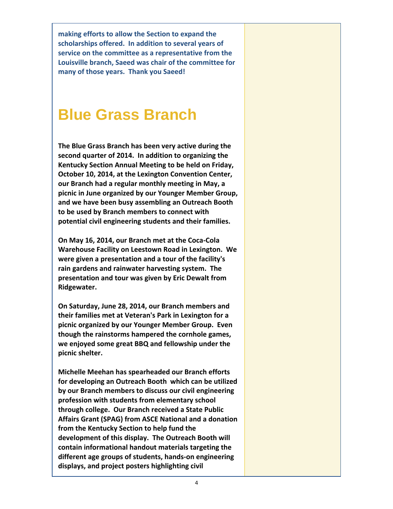**making efforts to allow the Section to expand the scholarships offered. In addition to several years of service on the committee as a representative from the Louisville branch, Saeed was chair of the committee for many of those years. Thank you Saeed!**

#### **Blue Grass Branch**

**The Blue Grass Branch has been very active during the second quarter of 2014. In addition to organizing the Kentucky Section Annual Meeting to be held on Friday, October 10, 2014, at the Lexington Convention Center, our Branch had a regular monthly meeting in May, a picnic in June organized by our Younger Member Group, and we have been busy assembling an Outreach Booth to be used by Branch members to connect with potential civil engineering students and their families.**

**On May 16, 2014, our Branch met at the Coca‐Cola Warehouse Facility on Leestown Road in Lexington. We were given a presentation and a tour of the facility's rain gardens and rainwater harvesting system. The presentation and tour was given by Eric Dewalt from Ridgewater.**

**On Saturday, June 28, 2014, our Branch members and their families met at Veteran's Park in Lexington for a picnic organized by our Younger Member Group. Even though the rainstorms hampered the cornhole games, we enjoyed some great BBQ and fellowship under the picnic shelter.**

**Michelle Meehan has spearheaded our Branch efforts for developing an Outreach Booth which can be utilized by our Branch members to discuss our civil engineering profession with students from elementary school through college. Our Branch received a State Public Affairs Grant (SPAG) from ASCE National and a donation from the Kentucky Section to help fund the development of this display. The Outreach Booth will contain informational handout materials targeting the different age groups of students, hands‐on engineering displays, and project posters highlighting civil**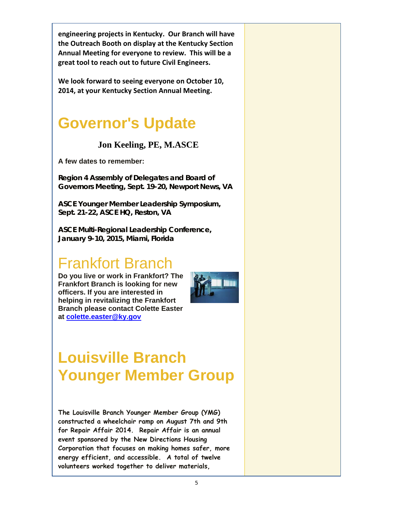**engineering projects in Kentucky. Our Branch will have the Outreach Booth on display at the Kentucky Section Annual Meeting for everyone to review. This will be a great tool to reach out to future Civil Engineers.**

**We look forward to seeing everyone on October 10, 2014, at your Kentucky Section Annual Meeting.**

#### **Governor's Update**

#### **Jon Keeling, PE, M.ASCE**

**A few dates to remember:**

**Region 4 Assembly of Delegates and Board of Governors Meeting, Sept. 19-20, Newport News, VA**

**ASCE Younger Member Leadership Symposium, Sept. 21-22, ASCE HQ, Reston, VA**

**ASCE Multi-Regional Leadership Conference, January 9-10, 2015, Miami, Florida**

### Frankfort Branch

**Do you live or work in Frankfort? The Frankfort Branch is looking for new officers. If you are interested in helping in revitalizing the Frankfort Branch please contact Colette Easter at colette.easter@ky.gov**



# **Louisville Branch Younger Member Group**

**The Louisville Branch Younger Member Group (YMG) constructed a wheelchair ramp on August 7th and 9th for Repair Affair 2014. Repair Affair is an annual event sponsored by the New Directions Housing Corporation that focuses on making homes safer, more energy efficient, and accessible. A total of twelve volunteers worked together to deliver materials,**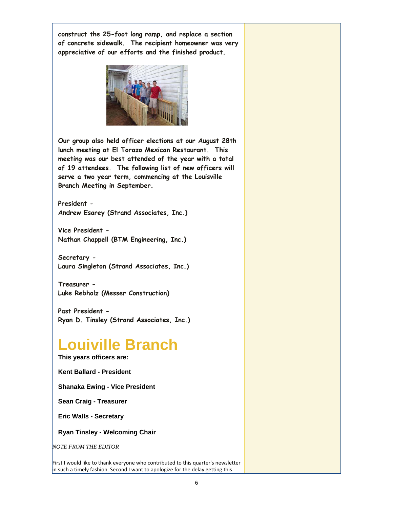**construct the 25-foot long ramp, and replace a section of concrete sidewalk. The recipient homeowner was very appreciative of our efforts and the finished product.**



**Our group also held officer elections at our August 28th lunch meeting at El Torazo Mexican Restaurant. This meeting was our best attended of the year with a total of 19 attendees. The following list of new officers will serve a two year term, commencing at the Louisville Branch Meeting in September.**

**President - Andrew Esarey (Strand Associates, Inc.)**

**Vice President - Nathan Chappell (BTM Engineering, Inc.)**

**Secretary - Laura Singleton (Strand Associates, Inc.)**

**Treasurer - Luke Rebholz (Messer Construction)**

**Past President - Ryan D. Tinsley (Strand Associates, Inc.)**

#### **Louiville Branch**

**This years officers are:**

**Kent Ballard - President**

**Shanaka Ewing - Vice President** 

**Sean Craig - Treasurer**

**Eric Walls - Secretary**

**Ryan Tinsley - Welcoming Chair** 

*NOTE FROM THE EDITOR*

First I would like to thank everyone who contributed to this quarter's newsletter in such a timely fashion. Second I want to apologize for the delay getting this